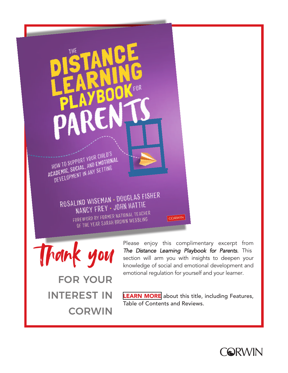

Thank you

FOR YOUR INTEREST IN **CORWIN** 

Please enjoy this complimentary excerpt from The Distance Learning Playbook for Parents. This section will arm you with insights to deepen your knowledge of social and emotional development and emotional regulation for yourself and your learner.

[LEARN](https://us.corwin.com/en-us/nam/the-distance-learning-playbook-for-parents/book276593) MORE about this title, including Features, Table of Contents and Reviews.

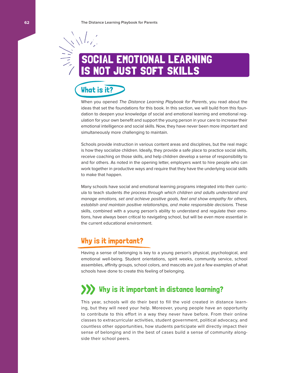## SOCIAL EMOTIONAL LEARNING IS NOT JUST SOFT SKILLS



When you opened The Distance Learning Playbook for Parents, you read about the ideas that set the foundations for this book. In this section, we will build from this foundation to deepen your knowledge of social and emotional learning and emotional regulation for your own benefit and support the young person in your care to increase their emotional intelligence and social skills. Now, they have never been more important and simultaneously more challenging to maintain.

Schools provide instruction in various content areas and disciplines, but the real magic is how they socialize children. Ideally, they provide a safe place to practice social skills, receive coaching on those skills, and help children develop a sense of responsibility to and for others. As noted in the opening letter, employers want to hire people who can work together in productive ways and require that they have the underlying social skills to make that happen.

Many schools have social and emotional learning programs integrated into their curricula to teac[h students](https://mylearningtools.org/) the process through which children and adults understand and manage emotions, set and achieve positive goals, feel and show empathy for others, establish and maintain positive relationships, and make responsible decisions. These skills, combined with a young person's ability to understand and regulate their emotions, have always been critical to navigating school, but will be even more essential in the current educational environment.

## Why is it important?

Having a sense of belonging is key to a young person's physical, psychological, and emotional well-being. Student orientations, spirit weeks, community service, school assemblies, affinity groups, school colors, and mascots are just a few examples of what schools have done to create this feeling of belonging.

## Why is it important in distance learning?

This year, schools will do their best to fill the void created in distance learning, but they will need your help. Moreover, young people have an opportunity to contribute to this effort in a way they never have before. From their online classes to extracurricular activities, student government, political advocacy, and countless other opportunities, how students participate will directly impact their sense of belonging and in the best of cases build a sense of community alongside their school peers.